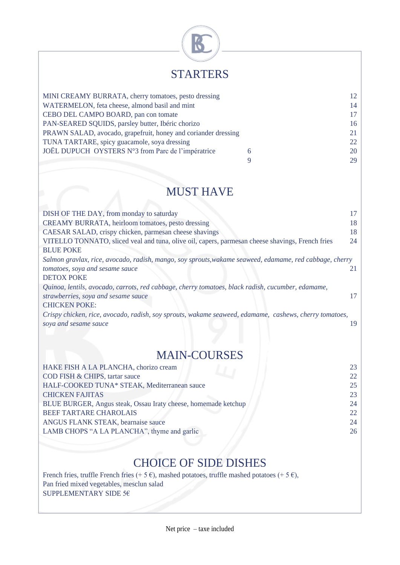

## **STARTERS**

| MINI CREAMY BURRATA, cherry tomatoes, pesto dressing           |    | 12  |
|----------------------------------------------------------------|----|-----|
| WATERMELON, feta cheese, almond basil and mint                 | 14 |     |
| CEBO DEL CAMPO BOARD, pan con tomate                           |    | 17  |
| PAN-SEARED SQUIDS, parsley butter, Ibéric chorizo              |    | 16  |
| PRAWN SALAD, avocado, grapefruit, honey and coriander dressing |    | 21  |
| TUNA TARTARE, spicy guacamole, soya dressing                   |    | 22. |
| JOËL DUPUCH OYSTERS N°3 from Parc de l'impératrice             |    | 20  |
|                                                                |    | 29  |
|                                                                |    |     |

## MUST HAVE

| DISH OF THE DAY, from monday to saturday                                                                | 17 |
|---------------------------------------------------------------------------------------------------------|----|
| CREAMY BURRATA, heirloom tomatoes, pesto dressing                                                       | 18 |
| CAESAR SALAD, crispy chicken, parmesan cheese shavings                                                  | 18 |
| VITELLO TONNATO, sliced veal and tuna, olive oil, capers, parmes an cheese shavings, French fries       | 24 |
| <b>BLUE POKE</b>                                                                                        |    |
| Salmon gravlax, rice, avocado, radish, mango, soy sprouts, wakame seaweed, edamame, red cabbage, cherry |    |
| tomatoes, soya and sesame sauce                                                                         |    |
| <b>DETOX POKE</b>                                                                                       |    |
| Quinoa, lentils, avocado, carrots, red cabbage, cherry tomatoes, black radish, cucumber, edamame,       |    |
| strawberries, soya and sesame sauce                                                                     |    |
| <b>CHICKEN POKE:</b>                                                                                    |    |
| Crispy chicken, rice, avocado, radish, soy sprouts, wakame seaweed, edamame, cashews, cherry tomatoes,  |    |
| soya and sesame sauce                                                                                   |    |
|                                                                                                         |    |

## MAIN-COURSES

| HAKE FISH A LA PLANCHA, chorizo cream                          | 23 |
|----------------------------------------------------------------|----|
| COD FISH & CHIPS, tartar sauce                                 | 22 |
| HALF-COOKED TUNA* STEAK, Mediterranean sauce                   | 25 |
| <b>CHICKEN FAJITAS</b>                                         | 23 |
| BLUE BURGER, Angus steak, Ossau Iraty cheese, homemade ketchup | 24 |
| <b>BEEF TARTARE CHAROLAIS</b>                                  | 22 |
| ANGUS FLANK STEAK, bearnaise sauce                             | 24 |
| LAMB CHOPS "A LA PLANCHA", thyme and garlic                    | 26 |
|                                                                |    |

## CHOICE OF SIDE DISHES

French fries, truffle French fries (+ 5 €), mashed potatoes, truffle mashed potatoes (+ 5 €), Pan fried mixed vegetables, mesclun salad SUPPLEMENTARY SIDE 5 $\epsilon$